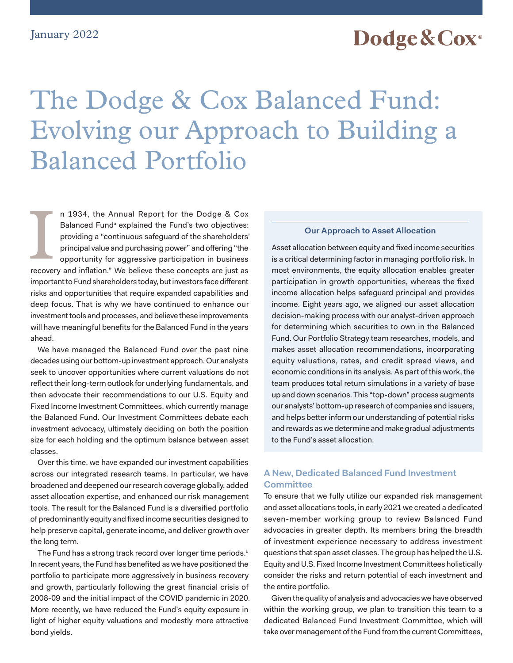## Dodge & Cox<sup>®</sup>

# <span id="page-0-0"></span>The Dodge & Cox Balanced Fund: Evolving our Approach to Building a Balanced Portfolio

n 1934, the Annual Report for the Dodge & Cox B[a](#page-3-0)lanced Fund<sup>a</sup> explained the Fund's two objectives: providing a "continuous safeguard of the shareholders' principal value and purchasing power" and offering "the opportunity for aggressive participation in business recovery and inflation." We believe these concepts are just as important to Fund shareholders today, but investors face different risks and opportunities that require expanded capabilities and deep focus. That is why we have continued to enhance our investment tools and processes, and believe these improvements will have meaningful benefits for the Balanced Fund in the years ahead. n 1934, the Annual Report for the Dodge & Cox<br>Balanced Fund<sup>a</sup> explained the Fund's two objectives:<br>providing a "continuous safeguard of the shareholders" **Our Approach to Asset Allocation**<br>principal value and purchasing p

We have managed the Balanced Fund over the past nine decades using our bottom-up investment approach. Our analysts seek to uncover opportunities where current valuations do not reflect their long-term outlook for underlying fundamentals, and then advocate their recommendations to our U.S. Equity and Fixed Income Investment Committees, which currently manage the Balanced Fund. Our Investment Committees debate each investment advocacy, ultimately deciding on both the position size for each holding and the optimum balance between asset classes.

Over this time, we have expanded our investment capabilities across our integrated research teams. In particular, we have broadened and deepened our research coverage globally, added asset allocation expertise, and enhanced our risk management tools. The result for the Balanced Fund is a diversified portfolio of predominantly equity and fixed income securities designed to help preserve capital, generate income, and deliver growth over the long term.

The Fund has a strong track record over longer time periods.<sup>[b](#page-3-0)</sup> In recent years, the Fund has benefited as we have positioned the portfolio to participate more aggressively in business recovery and growth, particularly following the great financial crisis of 2008-09 and the initial impact of the COVID pandemic in 2020. More recently, we have reduced the Fund's equity exposure in light of higher equity valuations and modestly more attractive bond yields.

Asset allocation between equity and fixed income securities is a critical determining factor in managing portfolio risk. In most environments, the equity allocation enables greater participation in growth opportunities, whereas the fixed income allocation helps safeguard principal and provides income. Eight years ago, we aligned our asset allocation decision-making process with our analyst-driven approach for determining which securities to own in the Balanced Fund. Our Portfolio Strategy team researches, models, and makes asset allocation recommendations, incorporating equity valuations, rates, and credit spread views, and economic conditions in its analysis. As part of this work, the team produces total return simulations in a variety of base up and down scenarios. This "top-down" process augments our analysts' bottom-up research of companies and issuers, and helps better inform our understanding of potential risks and rewards as we determine and make gradual adjustments to the Fund's asset allocation.

### **A New, Dedicated Balanced Fund Investment Committee**

To ensure that we fully utilize our expanded risk management and asset allocations tools, in early 2021 we created a dedicated seven-member working group to review Balanced Fund advocacies in greater depth. Its members bring the breadth of investment experience necessary to address investment questions that span asset classes. The group has helped the U.S. Equity and U.S. Fixed Income Investment Committees holistically consider the risks and return potential of each investment and the entire portfolio.

Given the quality of analysis and advocacies we have observed within the working group, we plan to transition this team to a dedicated Balanced Fund Investment Committee, which will take over management of the Fund from the current Committees,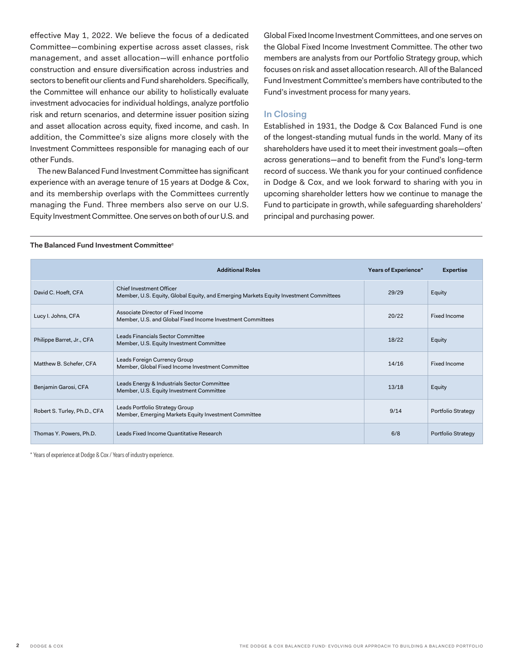<span id="page-1-0"></span>effective May 1, 2022. We believe the focus of a dedicated Committee—combining expertise across asset classes, risk management, and asset allocation—will enhance portfolio construction and ensure diversification across industries and sectors to benefit our clients and Fund shareholders. Specifically, the Committee will enhance our ability to holistically evaluate investment advocacies for individual holdings, analyze portfolio risk and return scenarios, and determine issuer position sizing and asset allocation across equity, fixed income, and cash. In addition, the Committee's size aligns more closely with the Investment Committees responsible for managing each of our other Funds.

The new Balanced Fund Investment Committee has significant experience with an average tenure of 15 years at Dodge & Cox, and its membership overlaps with the Committees currently managing the Fund. Three members also serve on our U.S. Equity Investment Committee. One serves on both of our U.S. and Global Fixed Income Investment Committees, and one serves on the Global Fixed Income Investment Committee. The other two members are analysts from our Portfolio Strategy group, which focuses on risk and asset allocation research. All of the Balanced Fund Investment Committee's members have contributed to the Fund's investment process for many years.

#### **In Closing**

Established in 1931, the Dodge & Cox Balanced Fund is one of the longest-standing mutual funds in the world. Many of its shareholders have used it to meet their investment goals—often across generations—and to benefit from the Fund's long-term record of success. We thank you for your continued confidence in Dodge & Cox, and we look forward to sharing with you in upcoming shareholder letters how we continue to manage the Fund to participate in growth, while safeguarding shareholders' principal and purchasing power.

#### **The Balanced Fund Investment Committee[c](#page-3-0)**

|                              | <b>Additional Roles</b>                                                                                                  | Years of Experience* | <b>Expertise</b>   |
|------------------------------|--------------------------------------------------------------------------------------------------------------------------|----------------------|--------------------|
| David C. Hoeft, CFA          | <b>Chief Investment Officer</b><br>Member, U.S. Equity, Global Equity, and Emerging Markets Equity Investment Committees | 29/29                | Equity             |
| Lucy I. Johns, CFA           | Associate Director of Fixed Income<br>Member, U.S. and Global Fixed Income Investment Committees                         | 20/22                | Fixed Income       |
| Philippe Barret, Jr., CFA    | Leads Financials Sector Committee<br>Member, U.S. Equity Investment Committee                                            | 18/22                | Equity             |
| Matthew B. Schefer, CFA      | Leads Foreign Currency Group<br>Member, Global Fixed Income Investment Committee                                         | 14/16                | Fixed Income       |
| Benjamin Garosi, CFA         | Leads Energy & Industrials Sector Committee<br>Member, U.S. Equity Investment Committee                                  | 13/18                | Equity             |
| Robert S. Turley, Ph.D., CFA | Leads Portfolio Strategy Group<br>Member, Emerging Markets Equity Investment Committee                                   | 9/14                 | Portfolio Strategy |
| Thomas Y. Powers, Ph.D.      | Leads Fixed Income Quantitative Research                                                                                 | 6/8                  | Portfolio Strategy |

\* Years of experience at Dodge & Cox / Years of industry experience.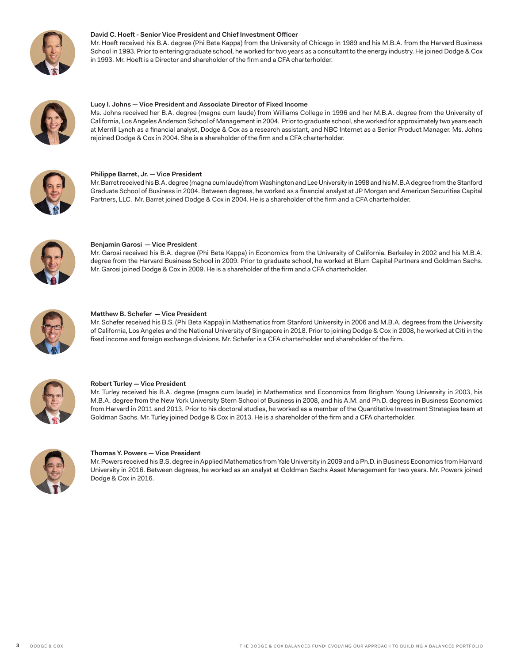

#### **David C. Hoeft - Senior Vice President and Chief Investment Officer**

Mr. Hoeft received his B.A. degree (Phi Beta Kappa) from the University of Chicago in 1989 and his M.B.A. from the Harvard Business School in 1993. Prior to entering graduate school, he worked for two years as a consultant to the energy industry. He joined Dodge & Cox in 1993. Mr. Hoeft is a Director and shareholder of the firm and a CFA charterholder.



#### **Lucy I. Johns — Vice President and Associate Director of Fixed Income**

Ms. Johns received her B.A. degree (magna cum laude) from Williams College in 1996 and her M.B.A. degree from the University of California, Los Angeles Anderson School of Management in 2004. Prior to graduate school, she worked for approximately two years each at Merrill Lynch as a financial analyst, Dodge & Cox as a research assistant, and NBC Internet as a Senior Product Manager. Ms. Johns rejoined Dodge & Cox in 2004. She is a shareholder of the firm and a CFA charterholder.



#### **Philippe Barret, Jr. — Vice President**

Mr. Barret received his B.A. degree (magna cum laude) from Washington and Lee University in 1998 and his M.B.A degree from the Stanford Graduate School of Business in 2004. Between degrees, he worked as a financial analyst at JP Morgan and American Securities Capital Partners, LLC. Mr. Barret joined Dodge & Cox in 2004. He is a shareholder of the firm and a CFA charterholder.



#### **Benjamin Garosi — Vice President**

Mr. Garosi received his B.A. degree (Phi Beta Kappa) in Economics from the University of California, Berkeley in 2002 and his M.B.A. degree from the Harvard Business School in 2009. Prior to graduate school, he worked at Blum Capital Partners and Goldman Sachs. Mr. Garosi joined Dodge & Cox in 2009. He is a shareholder of the firm and a CFA charterholder.



#### **Matthew B. Schefer — Vice President**

Mr. Schefer received his B.S. (Phi Beta Kappa) in Mathematics from Stanford University in 2006 and M.B.A. degrees from the University of California, Los Angeles and the National University of Singapore in 2018. Prior to joining Dodge & Cox in 2008, he worked at Citi in the fixed income and foreign exchange divisions. Mr. Schefer is a CFA charterholder and shareholder of the firm.



#### **Robert Turley — Vice President**

Mr. Turley received his B.A. degree (magna cum laude) in Mathematics and Economics from Brigham Young University in 2003, his M.B.A. degree from the New York University Stern School of Business in 2008, and his A.M. and Ph.D. degrees in Business Economics from Harvard in 2011 and 2013. Prior to his doctoral studies, he worked as a member of the Quantitative Investment Strategies team at Goldman Sachs. Mr. Turley joined Dodge & Cox in 2013. He is a shareholder of the firm and a CFA charterholder.



#### **Thomas Y. Powers — Vice President**

Mr. Powers received his B.S. degree in Applied Mathematics from Yale University in 2009 and a Ph.D. in Business Economics from Harvard University in 2016. Between degrees, he worked as an analyst at Goldman Sachs Asset Management for two years. Mr. Powers joined Dodge & Cox in 2016.